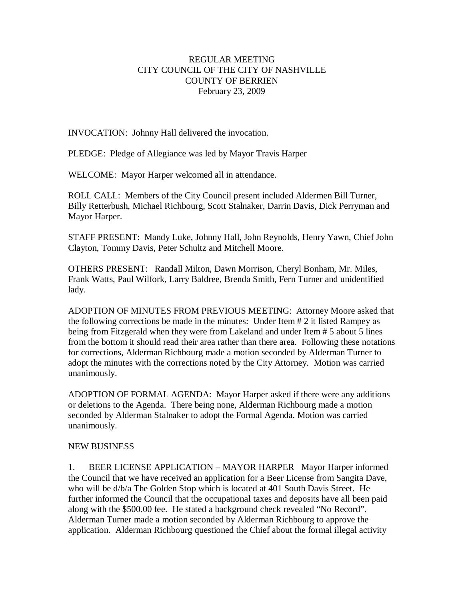## REGULAR MEETING CITY COUNCIL OF THE CITY OF NASHVILLE COUNTY OF BERRIEN February 23, 2009

INVOCATION: Johnny Hall delivered the invocation.

PLEDGE: Pledge of Allegiance was led by Mayor Travis Harper

WELCOME: Mayor Harper welcomed all in attendance.

ROLL CALL: Members of the City Council present included Aldermen Bill Turner, Billy Retterbush, Michael Richbourg, Scott Stalnaker, Darrin Davis, Dick Perryman and Mayor Harper.

STAFF PRESENT: Mandy Luke, Johnny Hall, John Reynolds, Henry Yawn, Chief John Clayton, Tommy Davis, Peter Schultz and Mitchell Moore.

OTHERS PRESENT: Randall Milton, Dawn Morrison, Cheryl Bonham, Mr. Miles, Frank Watts, Paul Wilfork, Larry Baldree, Brenda Smith, Fern Turner and unidentified lady.

ADOPTION OF MINUTES FROM PREVIOUS MEETING: Attorney Moore asked that the following corrections be made in the minutes: Under Item # 2 it listed Rampey as being from Fitzgerald when they were from Lakeland and under Item # 5 about 5 lines from the bottom it should read their area rather than there area. Following these notations for corrections, Alderman Richbourg made a motion seconded by Alderman Turner to adopt the minutes with the corrections noted by the City Attorney. Motion was carried unanimously.

ADOPTION OF FORMAL AGENDA: Mayor Harper asked if there were any additions or deletions to the Agenda. There being none, Alderman Richbourg made a motion seconded by Alderman Stalnaker to adopt the Formal Agenda. Motion was carried unanimously.

### NEW BUSINESS

1. BEER LICENSE APPLICATION – MAYOR HARPER Mayor Harper informed the Council that we have received an application for a Beer License from Sangita Dave, who will be d/b/a The Golden Stop which is located at 401 South Davis Street. He further informed the Council that the occupational taxes and deposits have all been paid along with the \$500.00 fee. He stated a background check revealed "No Record". Alderman Turner made a motion seconded by Alderman Richbourg to approve the application. Alderman Richbourg questioned the Chief about the formal illegal activity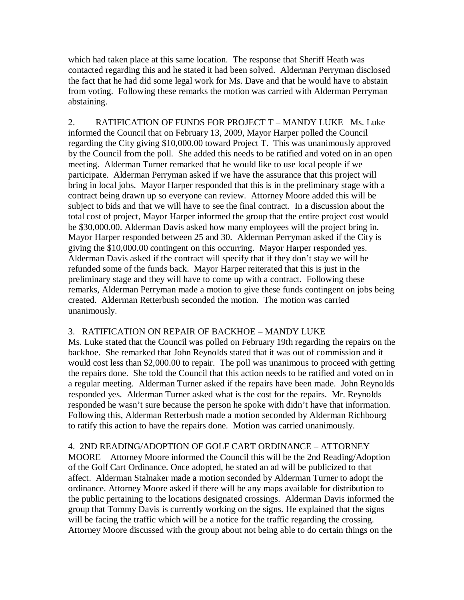which had taken place at this same location. The response that Sheriff Heath was contacted regarding this and he stated it had been solved. Alderman Perryman disclosed the fact that he had did some legal work for Ms. Dave and that he would have to abstain from voting. Following these remarks the motion was carried with Alderman Perryman abstaining.

2. RATIFICATION OF FUNDS FOR PROJECT T – MANDY LUKE Ms. Luke informed the Council that on February 13, 2009, Mayor Harper polled the Council regarding the City giving \$10,000.00 toward Project T. This was unanimously approved by the Council from the poll. She added this needs to be ratified and voted on in an open meeting. Alderman Turner remarked that he would like to use local people if we participate. Alderman Perryman asked if we have the assurance that this project will bring in local jobs. Mayor Harper responded that this is in the preliminary stage with a contract being drawn up so everyone can review. Attorney Moore added this will be subject to bids and that we will have to see the final contract. In a discussion about the total cost of project, Mayor Harper informed the group that the entire project cost would be \$30,000.00. Alderman Davis asked how many employees will the project bring in. Mayor Harper responded between 25 and 30. Alderman Perryman asked if the City is giving the \$10,000.00 contingent on this occurring. Mayor Harper responded yes. Alderman Davis asked if the contract will specify that if they don't stay we will be refunded some of the funds back. Mayor Harper reiterated that this is just in the preliminary stage and they will have to come up with a contract. Following these remarks, Alderman Perryman made a motion to give these funds contingent on jobs being created. Alderman Retterbush seconded the motion. The motion was carried unanimously.

### 3. RATIFICATION ON REPAIR OF BACKHOE – MANDY LUKE

Ms. Luke stated that the Council was polled on February 19th regarding the repairs on the backhoe. She remarked that John Reynolds stated that it was out of commission and it would cost less than \$2,000.00 to repair. The poll was unanimous to proceed with getting the repairs done. She told the Council that this action needs to be ratified and voted on in a regular meeting. Alderman Turner asked if the repairs have been made. John Reynolds responded yes. Alderman Turner asked what is the cost for the repairs. Mr. Reynolds responded he wasn't sure because the person he spoke with didn't have that information. Following this, Alderman Retterbush made a motion seconded by Alderman Richbourg to ratify this action to have the repairs done. Motion was carried unanimously.

# 4. 2ND READING/ADOPTION OF GOLF CART ORDINANCE – ATTORNEY

MOORE Attorney Moore informed the Council this will be the 2nd Reading/Adoption of the Golf Cart Ordinance. Once adopted, he stated an ad will be publicized to that affect. Alderman Stalnaker made a motion seconded by Alderman Turner to adopt the ordinance. Attorney Moore asked if there will be any maps available for distribution to the public pertaining to the locations designated crossings. Alderman Davis informed the group that Tommy Davis is currently working on the signs. He explained that the signs will be facing the traffic which will be a notice for the traffic regarding the crossing. Attorney Moore discussed with the group about not being able to do certain things on the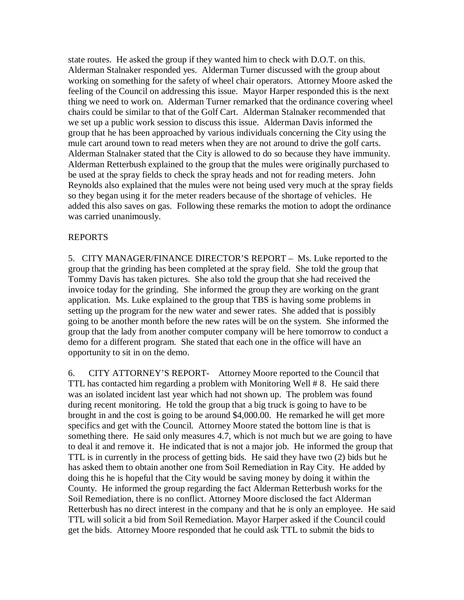state routes. He asked the group if they wanted him to check with D.O.T. on this. Alderman Stalnaker responded yes. Alderman Turner discussed with the group about working on something for the safety of wheel chair operators. Attorney Moore asked the feeling of the Council on addressing this issue. Mayor Harper responded this is the next thing we need to work on. Alderman Turner remarked that the ordinance covering wheel chairs could be similar to that of the Golf Cart. Alderman Stalnaker recommended that we set up a public work session to discuss this issue. Alderman Davis informed the group that he has been approached by various individuals concerning the City using the mule cart around town to read meters when they are not around to drive the golf carts. Alderman Stalnaker stated that the City is allowed to do so because they have immunity. Alderman Retterbush explained to the group that the mules were originally purchased to be used at the spray fields to check the spray heads and not for reading meters. John Reynolds also explained that the mules were not being used very much at the spray fields so they began using it for the meter readers because of the shortage of vehicles. He added this also saves on gas. Following these remarks the motion to adopt the ordinance was carried unanimously.

### REPORTS

5. CITY MANAGER/FINANCE DIRECTOR'S REPORT – Ms. Luke reported to the group that the grinding has been completed at the spray field. She told the group that Tommy Davis has taken pictures. She also told the group that she had received the invoice today for the grinding. She informed the group they are working on the grant application. Ms. Luke explained to the group that TBS is having some problems in setting up the program for the new water and sewer rates. She added that is possibly going to be another month before the new rates will be on the system. She informed the group that the lady from another computer company will be here tomorrow to conduct a demo for a different program. She stated that each one in the office will have an opportunity to sit in on the demo.

6. CITY ATTORNEY'S REPORT- Attorney Moore reported to the Council that TTL has contacted him regarding a problem with Monitoring Well # 8. He said there was an isolated incident last year which had not shown up. The problem was found during recent monitoring. He told the group that a big truck is going to have to be brought in and the cost is going to be around \$4,000.00. He remarked he will get more specifics and get with the Council. Attorney Moore stated the bottom line is that is something there. He said only measures 4.7, which is not much but we are going to have to deal it and remove it. He indicated that is not a major job. He informed the group that TTL is in currently in the process of getting bids. He said they have two (2) bids but he has asked them to obtain another one from Soil Remediation in Ray City. He added by doing this he is hopeful that the City would be saving money by doing it within the County. He informed the group regarding the fact Alderman Retterbush works for the Soil Remediation, there is no conflict. Attorney Moore disclosed the fact Alderman Retterbush has no direct interest in the company and that he is only an employee. He said TTL will solicit a bid from Soil Remediation. Mayor Harper asked if the Council could get the bids. Attorney Moore responded that he could ask TTL to submit the bids to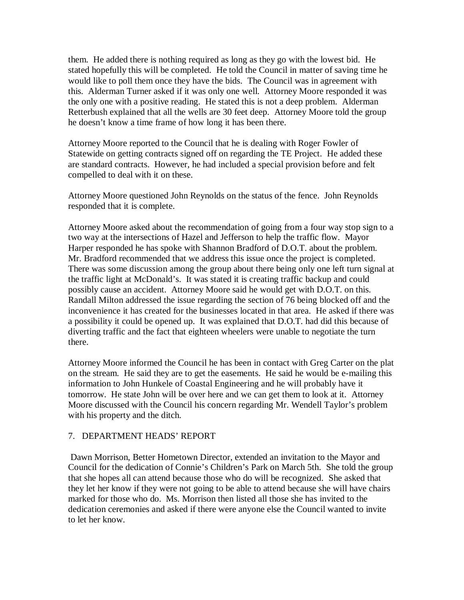them. He added there is nothing required as long as they go with the lowest bid. He stated hopefully this will be completed. He told the Council in matter of saving time he would like to poll them once they have the bids. The Council was in agreement with this. Alderman Turner asked if it was only one well. Attorney Moore responded it was the only one with a positive reading. He stated this is not a deep problem. Alderman Retterbush explained that all the wells are 30 feet deep. Attorney Moore told the group he doesn't know a time frame of how long it has been there.

Attorney Moore reported to the Council that he is dealing with Roger Fowler of Statewide on getting contracts signed off on regarding the TE Project. He added these are standard contracts. However, he had included a special provision before and felt compelled to deal with it on these.

Attorney Moore questioned John Reynolds on the status of the fence. John Reynolds responded that it is complete.

Attorney Moore asked about the recommendation of going from a four way stop sign to a two way at the intersections of Hazel and Jefferson to help the traffic flow. Mayor Harper responded he has spoke with Shannon Bradford of D.O.T. about the problem. Mr. Bradford recommended that we address this issue once the project is completed. There was some discussion among the group about there being only one left turn signal at the traffic light at McDonald's. It was stated it is creating traffic backup and could possibly cause an accident. Attorney Moore said he would get with D.O.T. on this. Randall Milton addressed the issue regarding the section of 76 being blocked off and the inconvenience it has created for the businesses located in that area. He asked if there was a possibility it could be opened up. It was explained that D.O.T. had did this because of diverting traffic and the fact that eighteen wheelers were unable to negotiate the turn there.

Attorney Moore informed the Council he has been in contact with Greg Carter on the plat on the stream. He said they are to get the easements. He said he would be e-mailing this information to John Hunkele of Coastal Engineering and he will probably have it tomorrow. He state John will be over here and we can get them to look at it. Attorney Moore discussed with the Council his concern regarding Mr. Wendell Taylor's problem with his property and the ditch.

### 7. DEPARTMENT HEADS' REPORT

Dawn Morrison, Better Hometown Director, extended an invitation to the Mayor and Council for the dedication of Connie's Children's Park on March 5th. She told the group that she hopes all can attend because those who do will be recognized. She asked that they let her know if they were not going to be able to attend because she will have chairs marked for those who do. Ms. Morrison then listed all those she has invited to the dedication ceremonies and asked if there were anyone else the Council wanted to invite to let her know.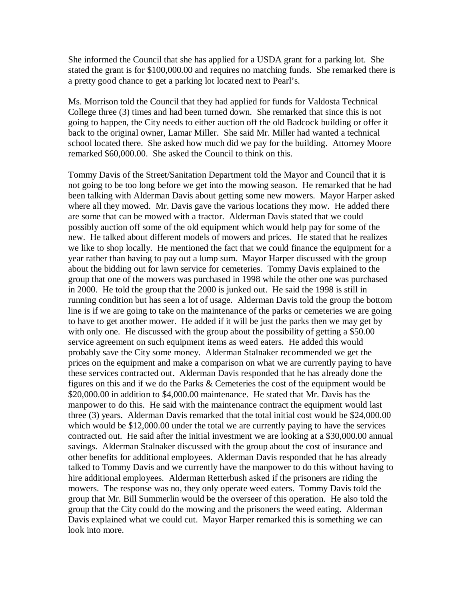She informed the Council that she has applied for a USDA grant for a parking lot. She stated the grant is for \$100,000.00 and requires no matching funds. She remarked there is a pretty good chance to get a parking lot located next to Pearl's.

Ms. Morrison told the Council that they had applied for funds for Valdosta Technical College three (3) times and had been turned down. She remarked that since this is not going to happen, the City needs to either auction off the old Badcock building or offer it back to the original owner, Lamar Miller. She said Mr. Miller had wanted a technical school located there. She asked how much did we pay for the building. Attorney Moore remarked \$60,000.00. She asked the Council to think on this.

Tommy Davis of the Street/Sanitation Department told the Mayor and Council that it is not going to be too long before we get into the mowing season. He remarked that he had been talking with Alderman Davis about getting some new mowers. Mayor Harper asked where all they mowed. Mr. Davis gave the various locations they mow. He added there are some that can be mowed with a tractor. Alderman Davis stated that we could possibly auction off some of the old equipment which would help pay for some of the new. He talked about different models of mowers and prices. He stated that he realizes we like to shop locally. He mentioned the fact that we could finance the equipment for a year rather than having to pay out a lump sum. Mayor Harper discussed with the group about the bidding out for lawn service for cemeteries. Tommy Davis explained to the group that one of the mowers was purchased in 1998 while the other one was purchased in 2000. He told the group that the 2000 is junked out. He said the 1998 is still in running condition but has seen a lot of usage. Alderman Davis told the group the bottom line is if we are going to take on the maintenance of the parks or cemeteries we are going to have to get another mower. He added if it will be just the parks then we may get by with only one. He discussed with the group about the possibility of getting a \$50.00 service agreement on such equipment items as weed eaters. He added this would probably save the City some money. Alderman Stalnaker recommended we get the prices on the equipment and make a comparison on what we are currently paying to have these services contracted out. Alderman Davis responded that he has already done the figures on this and if we do the Parks & Cemeteries the cost of the equipment would be \$20,000.00 in addition to \$4,000.00 maintenance. He stated that Mr. Davis has the manpower to do this. He said with the maintenance contract the equipment would last three (3) years. Alderman Davis remarked that the total initial cost would be \$24,000.00 which would be \$12,000.00 under the total we are currently paying to have the services contracted out. He said after the initial investment we are looking at a \$30,000.00 annual savings. Alderman Stalnaker discussed with the group about the cost of insurance and other benefits for additional employees. Alderman Davis responded that he has already talked to Tommy Davis and we currently have the manpower to do this without having to hire additional employees. Alderman Retterbush asked if the prisoners are riding the mowers. The response was no, they only operate weed eaters. Tommy Davis told the group that Mr. Bill Summerlin would be the overseer of this operation. He also told the group that the City could do the mowing and the prisoners the weed eating. Alderman Davis explained what we could cut. Mayor Harper remarked this is something we can look into more.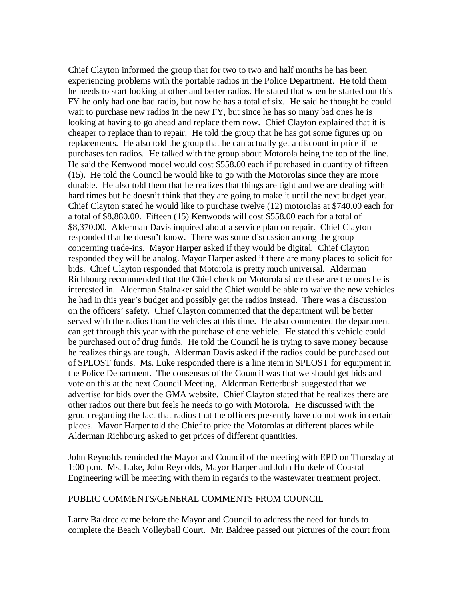Chief Clayton informed the group that for two to two and half months he has been experiencing problems with the portable radios in the Police Department. He told them he needs to start looking at other and better radios. He stated that when he started out this FY he only had one bad radio, but now he has a total of six. He said he thought he could wait to purchase new radios in the new FY, but since he has so many bad ones he is looking at having to go ahead and replace them now. Chief Clayton explained that it is cheaper to replace than to repair. He told the group that he has got some figures up on replacements. He also told the group that he can actually get a discount in price if he purchases ten radios. He talked with the group about Motorola being the top of the line. He said the Kenwood model would cost \$558.00 each if purchased in quantity of fifteen (15). He told the Council he would like to go with the Motorolas since they are more durable. He also told them that he realizes that things are tight and we are dealing with hard times but he doesn't think that they are going to make it until the next budget year. Chief Clayton stated he would like to purchase twelve (12) motorolas at \$740.00 each for a total of \$8,880.00. Fifteen (15) Kenwoods will cost \$558.00 each for a total of \$8,370.00. Alderman Davis inquired about a service plan on repair. Chief Clayton responded that he doesn't know. There was some discussion among the group concerning trade-ins. Mayor Harper asked if they would be digital. Chief Clayton responded they will be analog. Mayor Harper asked if there are many places to solicit for bids. Chief Clayton responded that Motorola is pretty much universal. Alderman Richbourg recommended that the Chief check on Motorola since these are the ones he is interested in. Alderman Stalnaker said the Chief would be able to waive the new vehicles he had in this year's budget and possibly get the radios instead. There was a discussion on the officers' safety. Chief Clayton commented that the department will be better served with the radios than the vehicles at this time. He also commented the department can get through this year with the purchase of one vehicle. He stated this vehicle could be purchased out of drug funds. He told the Council he is trying to save money because he realizes things are tough. Alderman Davis asked if the radios could be purchased out of SPLOST funds. Ms. Luke responded there is a line item in SPLOST for equipment in the Police Department. The consensus of the Council was that we should get bids and vote on this at the next Council Meeting. Alderman Retterbush suggested that we advertise for bids over the GMA website. Chief Clayton stated that he realizes there are other radios out there but feels he needs to go with Motorola. He discussed with the group regarding the fact that radios that the officers presently have do not work in certain places. Mayor Harper told the Chief to price the Motorolas at different places while Alderman Richbourg asked to get prices of different quantities.

John Reynolds reminded the Mayor and Council of the meeting with EPD on Thursday at 1:00 p.m. Ms. Luke, John Reynolds, Mayor Harper and John Hunkele of Coastal Engineering will be meeting with them in regards to the wastewater treatment project.

#### PUBLIC COMMENTS/GENERAL COMMENTS FROM COUNCIL

Larry Baldree came before the Mayor and Council to address the need for funds to complete the Beach Volleyball Court. Mr. Baldree passed out pictures of the court from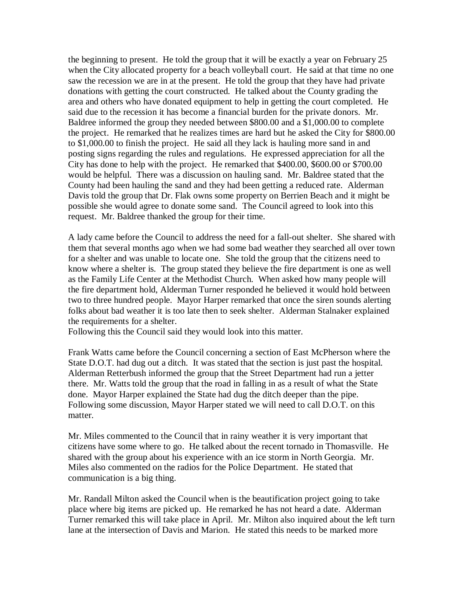the beginning to present. He told the group that it will be exactly a year on February 25 when the City allocated property for a beach volleyball court. He said at that time no one saw the recession we are in at the present. He told the group that they have had private donations with getting the court constructed. He talked about the County grading the area and others who have donated equipment to help in getting the court completed. He said due to the recession it has become a financial burden for the private donors. Mr. Baldree informed the group they needed between \$800.00 and a \$1,000.00 to complete the project. He remarked that he realizes times are hard but he asked the City for \$800.00 to \$1,000.00 to finish the project. He said all they lack is hauling more sand in and posting signs regarding the rules and regulations. He expressed appreciation for all the City has done to help with the project. He remarked that \$400.00, \$600.00 or \$700.00 would be helpful. There was a discussion on hauling sand. Mr. Baldree stated that the County had been hauling the sand and they had been getting a reduced rate. Alderman Davis told the group that Dr. Flak owns some property on Berrien Beach and it might be possible she would agree to donate some sand. The Council agreed to look into this request. Mr. Baldree thanked the group for their time.

A lady came before the Council to address the need for a fall-out shelter. She shared with them that several months ago when we had some bad weather they searched all over town for a shelter and was unable to locate one. She told the group that the citizens need to know where a shelter is. The group stated they believe the fire department is one as well as the Family Life Center at the Methodist Church. When asked how many people will the fire department hold, Alderman Turner responded he believed it would hold between two to three hundred people. Mayor Harper remarked that once the siren sounds alerting folks about bad weather it is too late then to seek shelter. Alderman Stalnaker explained the requirements for a shelter.

Following this the Council said they would look into this matter.

Frank Watts came before the Council concerning a section of East McPherson where the State D.O.T. had dug out a ditch. It was stated that the section is just past the hospital. Alderman Retterbush informed the group that the Street Department had run a jetter there. Mr. Watts told the group that the road in falling in as a result of what the State done. Mayor Harper explained the State had dug the ditch deeper than the pipe. Following some discussion, Mayor Harper stated we will need to call D.O.T. on this matter.

Mr. Miles commented to the Council that in rainy weather it is very important that citizens have some where to go. He talked about the recent tornado in Thomasville. He shared with the group about his experience with an ice storm in North Georgia. Mr. Miles also commented on the radios for the Police Department. He stated that communication is a big thing.

Mr. Randall Milton asked the Council when is the beautification project going to take place where big items are picked up. He remarked he has not heard a date. Alderman Turner remarked this will take place in April. Mr. Milton also inquired about the left turn lane at the intersection of Davis and Marion. He stated this needs to be marked more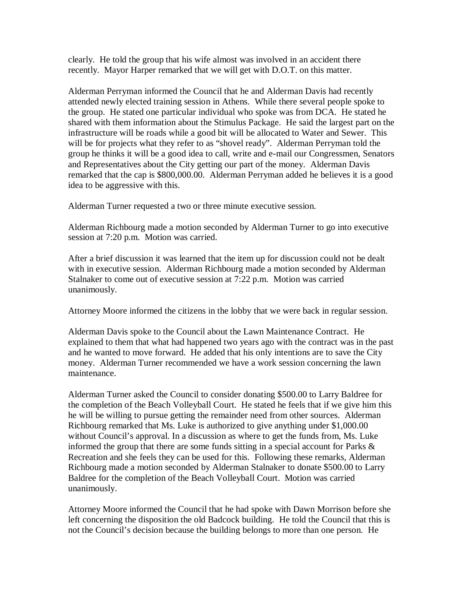clearly. He told the group that his wife almost was involved in an accident there recently. Mayor Harper remarked that we will get with D.O.T. on this matter.

Alderman Perryman informed the Council that he and Alderman Davis had recently attended newly elected training session in Athens. While there several people spoke to the group. He stated one particular individual who spoke was from DCA. He stated he shared with them information about the Stimulus Package. He said the largest part on the infrastructure will be roads while a good bit will be allocated to Water and Sewer. This will be for projects what they refer to as "shovel ready". Alderman Perryman told the group he thinks it will be a good idea to call, write and e-mail our Congressmen, Senators and Representatives about the City getting our part of the money. Alderman Davis remarked that the cap is \$800,000.00. Alderman Perryman added he believes it is a good idea to be aggressive with this.

Alderman Turner requested a two or three minute executive session.

Alderman Richbourg made a motion seconded by Alderman Turner to go into executive session at 7:20 p.m. Motion was carried.

After a brief discussion it was learned that the item up for discussion could not be dealt with in executive session. Alderman Richbourg made a motion seconded by Alderman Stalnaker to come out of executive session at 7:22 p.m. Motion was carried unanimously.

Attorney Moore informed the citizens in the lobby that we were back in regular session.

Alderman Davis spoke to the Council about the Lawn Maintenance Contract. He explained to them that what had happened two years ago with the contract was in the past and he wanted to move forward. He added that his only intentions are to save the City money. Alderman Turner recommended we have a work session concerning the lawn maintenance.

Alderman Turner asked the Council to consider donating \$500.00 to Larry Baldree for the completion of the Beach Volleyball Court. He stated he feels that if we give him this he will be willing to pursue getting the remainder need from other sources. Alderman Richbourg remarked that Ms. Luke is authorized to give anything under \$1,000.00 without Council's approval. In a discussion as where to get the funds from, Ms. Luke informed the group that there are some funds sitting in a special account for Parks  $\&$ Recreation and she feels they can be used for this. Following these remarks, Alderman Richbourg made a motion seconded by Alderman Stalnaker to donate \$500.00 to Larry Baldree for the completion of the Beach Volleyball Court. Motion was carried unanimously.

Attorney Moore informed the Council that he had spoke with Dawn Morrison before she left concerning the disposition the old Badcock building. He told the Council that this is not the Council's decision because the building belongs to more than one person. He